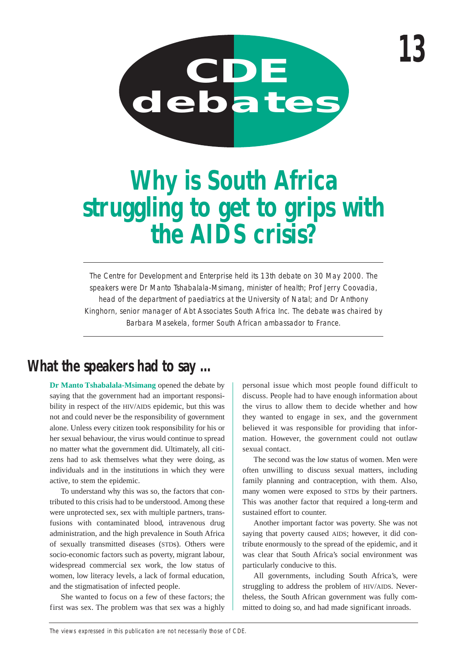

# **Why is South Africa struggling to get to grips with the AIDS crisis?**

The Centre for Development and Enterprise held its 13th debate on 30 May 2000. The speakers were Dr Manto Tshabalala-Msimang, minister of health; Prof Jerry Coovadia, head of the department of paediatrics at the University of Natal; and Dr Anthony Kinghorn, senior manager of Abt Associates South Africa Inc. The debate was chaired by Barbara Masekela, former South African ambassador to France.

## **What the speakers had to say …**

**Dr Manto Tshabalala-Msimang** opened the debate by saying that the government had an important responsibility in respect of the HIV/AIDS epidemic, but this was not and could never be the responsibility of government alone. Unless every citizen took responsibility for his or her sexual behaviour, the virus would continue to spread no matter what the government did. Ultimately, all citizens had to ask themselves what they were doing, as individuals and in the institutions in which they were active, to stem the epidemic.

To understand why this was so, the factors that contributed to this crisis had to be understood. Among these were unprotected sex, sex with multiple partners, transfusions with contaminated blood, intravenous drug administration, and the high prevalence in South Africa of sexually transmitted diseases (STDs). Others were socio-economic factors such as poverty, migrant labour, widespread commercial sex work, the low status of women, low literacy levels, a lack of formal education, and the stigmatisation of infected people.

She wanted to focus on a few of these factors; the first was sex. The problem was that sex was a highly personal issue which most people found difficult to discuss. People had to have enough information about the virus to allow them to decide whether and how they wanted to engage in sex, and the government believed it was responsible for providing that information. However, the government could not outlaw sexual contact.

The second was the low status of women. Men were often unwilling to discuss sexual matters, including family planning and contraception, with them. Also, many women were exposed to STDs by their partners. This was another factor that required a long-term and sustained effort to counter.

Another important factor was poverty. She was not saying that poverty caused AIDS; however, it did contribute enormously to the spread of the epidemic, and it was clear that South Africa's social environment was particularly conducive to this.

All governments, including South Africa's, were struggling to address the problem of HIV/AIDS. Nevertheless, the South African government was fully committed to doing so, and had made significant inroads.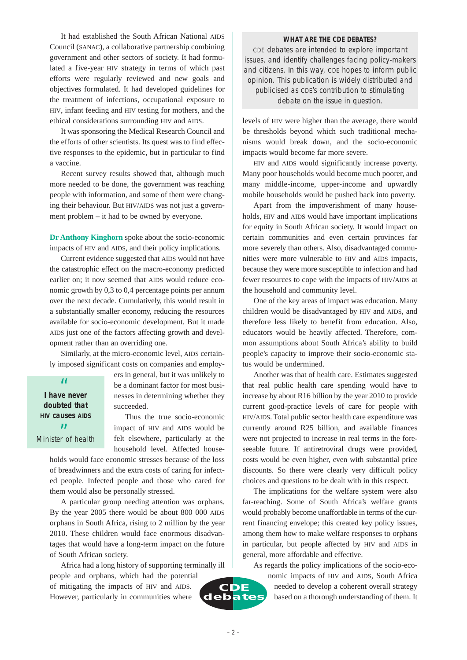It had established the South African National AIDS Council (SANAC), a collaborative partnership combining government and other sectors of society. It had formulated a five-year HIV strategy in terms of which past efforts were regularly reviewed and new goals and objectives formulated. It had developed guidelines for the treatment of infections, occupational exposure to HIV, infant feeding and HIV testing for mothers, and the ethical considerations surrounding HIV and AIDS.

It was sponsoring the Medical Research Council and the efforts of other scientists. Its quest was to find effective responses to the epidemic, but in particular to find a vaccine.

Recent survey results showed that, although much more needed to be done, the government was reaching people with information, and some of them were changing their behaviour. But HIV/AIDS was not just a government problem – it had to be owned by everyone.

**Dr Anthony Kinghorn** spoke about the socio-economic impacts of HIV and AIDS, and their policy implications.

Current evidence suggested that AIDS would not have the catastrophic effect on the macro-economy predicted earlier on; it now seemed that AIDS would reduce economic growth by 0,3 to 0,4 percentage points per annum over the next decade. Cumulatively, this would result in a substantially smaller economy, reducing the resources available for socio-economic development. But it made AIDS just one of the factors affecting growth and development rather than an overriding one.

Similarly, at the micro-economic level, AIDS certainly imposed significant costs on companies and employ-

**I have never** " **doubted that HIV causes AIDS** وو<br>Minister of health ers in general, but it was unlikely to be a dominant factor for most businesses in determining whether they succeeded.

Thus the true socio-economic impact of HIV and AIDS would be felt elsewhere, particularly at the household level. Affected house-

holds would face economic stresses because of the loss of breadwinners and the extra costs of caring for infected people. Infected people and those who cared for them would also be personally stressed.

A particular group needing attention was orphans. By the year 2005 there would be about 800 000 AIDS orphans in South Africa, rising to 2 million by the year 2010. These children would face enormous disadvantages that would have a long-term impact on the future of South African society.

Africa had a long history of supporting terminally ill people and orphans, which had the potential of mitigating the impacts of HIV and AIDS. However, particularly in communities where **CDE debates**

#### **WHAT ARE THE CDE DEBATES?**

CDE debates are intended to explore important issues, and identify challenges facing policy-makers and citizens. In this way, CDE hopes to inform public opinion. This publication is widely distributed and publicised as CDE's contribution to stimulating debate on the issue in question.

levels of HIV were higher than the average, there would be thresholds beyond which such traditional mechanisms would break down, and the socio-economic impacts would become far more severe.

HIV and AIDS would significantly increase poverty. Many poor households would become much poorer, and many middle-income, upper-income and upwardly mobile households would be pushed back into poverty.

Apart from the impoverishment of many households, HIV and AIDS would have important implications for equity in South African society. It would impact on certain communities and even certain provinces far more severely than others. Also, disadvantaged communities were more vulnerable to HIV and AIDS impacts, because they were more susceptible to infection and had fewer resources to cope with the impacts of HIV/AIDS at the household and community level.

One of the key areas of impact was education. Many children would be disadvantaged by HIV and AIDS, and therefore less likely to benefit from education. Also, educators would be heavily affected. Therefore, common assumptions about South Africa's ability to build people's capacity to improve their socio-economic status would be undermined.

Another was that of health care. Estimates suggested that real public health care spending would have to increase by about R16 billion by the year 2010 to provide current good-practice levels of care for people with HIV/AIDS. Total public sector health care expenditure was currently around R25 billion, and available finances were not projected to increase in real terms in the foreseeable future. If antiretroviral drugs were provided, costs would be even higher, even with substantial price discounts. So there were clearly very difficult policy choices and questions to be dealt with in this respect.

The implications for the welfare system were also far-reaching. Some of South Africa's welfare grants would probably become unaffordable in terms of the current financing envelope; this created key policy issues, among them how to make welfare responses to orphans in particular, but people affected by HIV and AIDS in general, more affordable and effective.

As regards the policy implications of the socio-eco-

nomic impacts of HIV and AIDS, South Africa needed to develop a coherent overall strategy based on a thorough understanding of them. It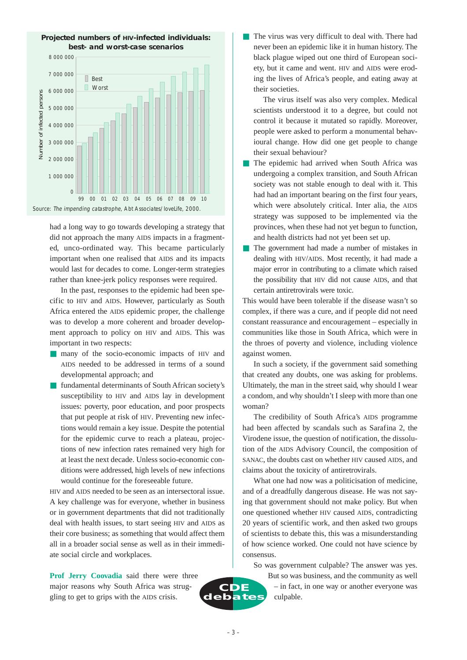

had a long way to go towards developing a strategy that did not approach the many AIDS impacts in a fragmented, unco-ordinated way. This became particularly important when one realised that AIDS and its impacts would last for decades to come. Longer-term strategies rather than knee-jerk policy responses were required.

In the past, responses to the epidemic had been specific to HIV and AIDS. However, particularly as South Africa entered the AIDS epidemic proper, the challenge was to develop a more coherent and broader development approach to policy on HIV and AIDS. This was important in two respects:

- many of the socio-economic impacts of HIV and AIDS needed to be addressed in terms of a sound developmental approach; and
- fundamental determinants of South African society's susceptibility to HIV and AIDS lay in development issues: poverty, poor education, and poor prospects that put people at risk of HIV. Preventing new infections would remain a key issue. Despite the potential for the epidemic curve to reach a plateau, projections of new infection rates remained very high for at least the next decade. Unless socio-economic conditions were addressed, high levels of new infections would continue for the foreseeable future.

HIV and AIDS needed to be seen as an intersectoral issue. A key challenge was for everyone, whether in business or in government departments that did not traditionally deal with health issues, to start seeing HIV and AIDS as their core business; as something that would affect them all in a broader social sense as well as in their immediate social circle and workplaces.

**Prof Jerry Coovadia** said there were three major reasons why South Africa was struggling to get to grips with the AIDS crisis.

The virus was very difficult to deal with. There had never been an epidemic like it in human history. The black plague wiped out one third of European society, but it came and went. HIV and AIDS were eroding the lives of Africa's people, and eating away at their societies.

The virus itself was also very complex. Medical scientists understood it to a degree, but could not control it because it mutated so rapidly. Moreover, people were asked to perform a monumental behavioural change. How did one get people to change their sexual behaviour?

- The epidemic had arrived when South Africa was undergoing a complex transition, and South African society was not stable enough to deal with it. This had had an important bearing on the first four years, which were absolutely critical. Inter alia, the AIDS strategy was supposed to be implemented via the provinces, when these had not yet begun to function, and health districts had not yet been set up.
- The government had made a number of mistakes in dealing with HIV/AIDS. Most recently, it had made a major error in contributing to a climate which raised the possibility that HIV did not cause AIDS, and that certain antiretrovirals were toxic.

This would have been tolerable if the disease wasn't so complex, if there was a cure, and if people did not need constant reassurance and encouragement – especially in communities like those in South Africa, which were in the throes of poverty and violence, including violence against women.

In such a society, if the government said something that created any doubts, one was asking for problems. Ultimately, the man in the street said, why should I wear a condom, and why shouldn't I sleep with more than one woman?

The credibility of South Africa's AIDS programme had been affected by scandals such as Sarafina 2, the Virodene issue, the question of notification, the dissolution of the AIDS Advisory Council, the composition of SANAC, the doubts cast on whether HIV caused AIDS, and claims about the toxicity of antiretrovirals.

What one had now was a politicisation of medicine, and of a dreadfully dangerous disease. He was not saying that government should not make policy. But when one questioned whether HIV caused AIDS, contradicting 20 years of scientific work, and then asked two groups of scientists to debate this, this was a misunderstanding of how science worked. One could not have science by consensus.

So was government culpable? The answer was yes.

But so was business, and the community as well – in fact, in one way or another everyone was culpable.



**CDE debates**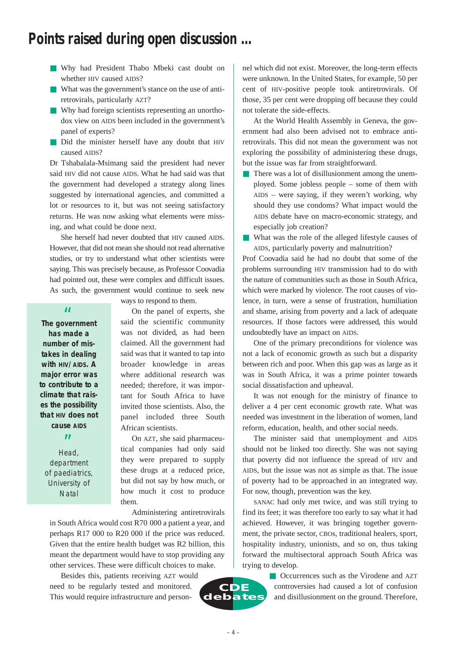### **Points raised during open discussion …**

- Why had President Thabo Mbeki cast doubt on whether HIV caused AIDS?
- What was the government's stance on the use of antiretrovirals, particularly AZT?
- Why had foreign scientists representing an unorthodox view on AIDS been included in the government's panel of experts?
- Did the minister herself have any doubt that HIV caused AIDS?

Dr Tshabalala-Msimang said the president had never said HIV did not cause AIDS. What he had said was that the government had developed a strategy along lines suggested by international agencies, and committed a lot or resources to it, but was not seeing satisfactory returns. He was now asking what elements were missing, and what could be done next.

She herself had never doubted that HIV caused AIDS. However, that did not mean she should not read alternative studies, or try to understand what other scientists were saying. This was precisely because, as Professor Coovadia had pointed out, these were complex and difficult issues. As such, the government would continue to seek new

**The government** " **has made a number of mistakes in dealing with HIV/AIDS. A major error was to contribute to a climate that raises the possibility that HIV does not cause AIDS**

 $99$  Head, department of paediatrics, University of **Natal** 

ways to respond to them.

On the panel of experts, she said the scientific community was not divided, as had been claimed. All the government had said was that it wanted to tap into broader knowledge in areas where additional research was needed; therefore, it was important for South Africa to have invited those scientists. Also, the panel included three South African scientists.

On AZT, she said pharmaceutical companies had only said they were prepared to supply these drugs at a reduced price, but did not say by how much, or how much it cost to produce them.

Administering antiretrovirals

in South Africa would cost R70 000 a patient a year, and perhaps R17 000 to R20 000 if the price was reduced. Given that the entire health budget was R2 billion, this meant the department would have to stop providing any other services. These were difficult choices to make.

Besides this, patients receiving AZT would need to be regularly tested and monitored. This would require infrastructure and person-



nel which did not exist. Moreover, the long-term effects were unknown. In the United States, for example, 50 per cent of HIV-positive people took antiretrovirals. Of those, 35 per cent were dropping off because they could not tolerate the side-effects.

At the World Health Assembly in Geneva, the government had also been advised not to embrace antiretrovirals. This did not mean the government was not exploring the possibility of administering these drugs, but the issue was far from straightforward.

- There was a lot of disillusionment among the unemployed. Some jobless people – some of them with AIDS – were saying, if they weren't working, why should they use condoms? What impact would the AIDS debate have on macro-economic strategy, and especially job creation?
- What was the role of the alleged lifestyle causes of AIDS, particularly poverty and malnutrition?

Prof Coovadia said he had no doubt that some of the problems surrounding HIV transmission had to do with the nature of communities such as those in South Africa, which were marked by violence. The root causes of violence, in turn, were a sense of frustration, humiliation and shame, arising from poverty and a lack of adequate resources. If those factors were addressed, this would undoubtedly have an impact on AIDS.

One of the primary preconditions for violence was not a lack of economic growth as such but a disparity between rich and poor. When this gap was as large as it was in South Africa, it was a prime pointer towards social dissatisfaction and upheaval.

It was not enough for the ministry of finance to deliver a 4 per cent economic growth rate. What was needed was investment in the liberation of women, land reform, education, health, and other social needs.

The minister said that unemployment and AIDS should not be linked too directly. She was not saying that poverty did not influence the spread of HIV and AIDS, but the issue was not as simple as that. The issue of poverty had to be approached in an integrated way. For now, though, prevention was the key.

SANAC had only met twice, and was still trying to find its feet; it was therefore too early to say what it had achieved. However, it was bringing together government, the private sector, CBOs, traditional healers, sport, hospitality industry, unionists, and so on, thus taking forward the multisectoral approach South Africa was trying to develop.

> ■ Occurrences such as the Virodene and AZT controversies had caused a lot of confusion and disillusionment on the ground. Therefore,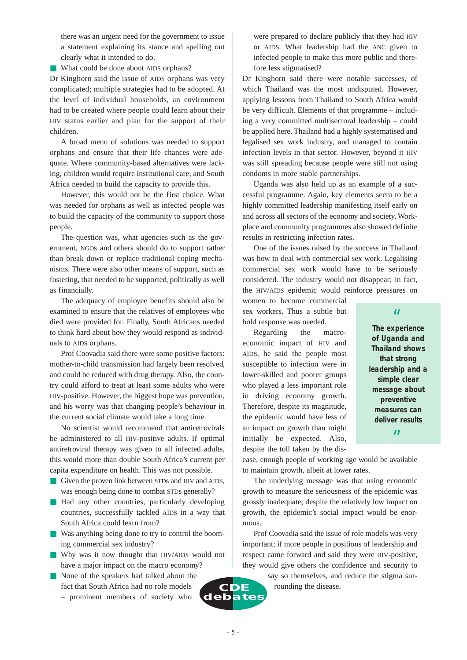there was an urgent need for the government to issue a statement explaining its stance and spelling out clearly what it intended to do.

■ What could be done about AIDS orphans?

Dr Kinghorn said the issue of AIDS orphans was very complicated; multiple strategies had to be adopted. At the level of individual households, an environment had to be created where people could learn about their HIV status earlier and plan for the support of their children.

A broad menu of solutions was needed to support orphans and ensure that their life chances were adequate. Where community-based alternatives were lacking, children would require institutional care, and South Africa needed to build the capacity to provide this.

However, this would not be the first choice. What was needed for orphans as well as infected people was to build the capacity of the community to support those people.

The question was, what agencies such as the government, NGOs and others should do to support rather than break down or replace traditional coping mechanisms. There were also other means of support, such as fostering, that needed to be supported, politically as well as financially.

The adequacy of employee benefits should also be examined to ensure that the relatives of employees who died were provided for. Finally, South Africans needed to think hard about how they would respond as individuals to AIDS orphans.

Prof Coovadia said there were some positive factors: mother-to-child transmission had largely been resolved, and could be reduced with drug therapy. Also, the country could afford to treat at least some adults who were HIV-positive. However, the biggest hope was prevention, and his worry was that changing people's behaviour in the current social climate would take a long time.

No scientist would recommend that antiretrovirals be administered to all HIV-positive adults. If optimal antiretroviral therapy was given to all infected adults, this would more than double South Africa's current per capita expenditure on health. This was not possible.

- Given the proven link between STDs and HIV and AIDS, was enough being done to combat STDs generally?
- Had any other countries, particularly developing countries, successfully tackled AIDS in a way that South Africa could learn from?
- Was anything being done to try to control the booming commercial sex industry?
- Why was it now thought that HIV/AIDS would not have a major impact on the macro economy?
- None of the speakers had talked about the fact that South Africa had no role models – prominent members of society who

were prepared to declare publicly that they had HIV or AIDS. What leadership had the ANC given to infected people to make this more public and therefore less stigmatised?

Dr Kinghorn said there were notable successes, of which Thailand was the most undisputed. However, applying lessons from Thailand to South Africa would be very difficult. Elements of that programme – including a very committed multisectoral leadership – could be applied here. Thailand had a highly systematised and legalised sex work industry, and managed to contain infection levels in that sector. However, beyond it HIV was still spreading because people were still not using condoms in more stable partnerships.

Uganda was also held up as an example of a successful programme. Again, key elements seem to be a highly committed leadership manifesting itself early on and across all sectors of the economy and society. Workplace and community programmes also showed definite results in restricting infection rates.

One of the issues raised by the success in Thailand was how to deal with commercial sex work. Legalising commercial sex work would have to be seriously considered. The industry would not disappear; in fact, the HIV/AIDS epidemic would reinforce pressures on

women to become commercial sex workers. Thus a subtle but bold response was needed.

Regarding the macroeconomic impact of HIV and AIDS, he said the people most susceptible to infection were in lower-skilled and poorer groups who played a less important role in driving economy growth. Therefore, despite its magnitude, the epidemic would have less of an impact on growth than might initially be expected. Also, despite the toll taken by the dis-

**The experience** " **of Uganda and Thailand shows that strong leadership and a simple clear message about preventive measures can deliver results** "

ease, enough people of working age would be available to maintain growth, albeit at lower rates.

The underlying message was that using economic growth to measure the seriousness of the epidemic was grossly inadequate; despite the relatively low impact on growth, the epidemic's social impact would be enormous.

Prof Coovadia said the issue of role models was very important; if more people in positions of leadership and respect came forward and said they were HIV-positive, they would give others the confidence and security to

> say so themselves, and reduce the stigma surrounding the disease.